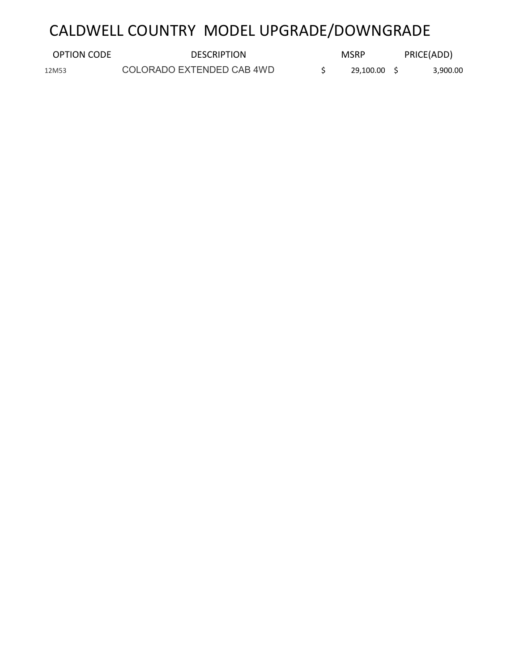# CALDWELL COUNTRY MODEL UPGRADE/DOWNGRADE

| OPTION CODE | <b>DESCRIPTION</b>        | <b>MSRP</b> | PRICE(ADD) |
|-------------|---------------------------|-------------|------------|
| 12M53       | COLORADO EXTENDED CAB 4WD | 29.100.00   | 3,900.00   |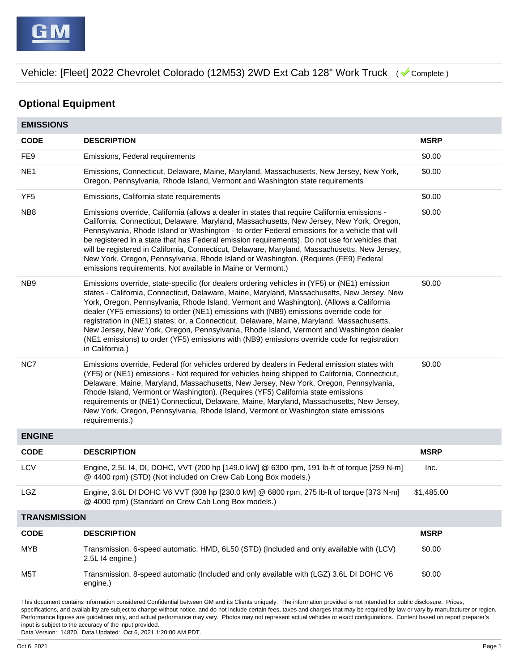## **Optional Equipment**

| <b>EMISSIONS</b>    |                                                                                                                                                                                                                                                                                                                                                                                                                                                                                                                                                                                                                                                                                              |             |
|---------------------|----------------------------------------------------------------------------------------------------------------------------------------------------------------------------------------------------------------------------------------------------------------------------------------------------------------------------------------------------------------------------------------------------------------------------------------------------------------------------------------------------------------------------------------------------------------------------------------------------------------------------------------------------------------------------------------------|-------------|
| <b>CODE</b>         | <b>DESCRIPTION</b>                                                                                                                                                                                                                                                                                                                                                                                                                                                                                                                                                                                                                                                                           | <b>MSRP</b> |
| FE9                 | Emissions, Federal requirements                                                                                                                                                                                                                                                                                                                                                                                                                                                                                                                                                                                                                                                              | \$0.00      |
| NE <sub>1</sub>     | Emissions, Connecticut, Delaware, Maine, Maryland, Massachusetts, New Jersey, New York,<br>Oregon, Pennsylvania, Rhode Island, Vermont and Washington state requirements                                                                                                                                                                                                                                                                                                                                                                                                                                                                                                                     | \$0.00      |
| YF <sub>5</sub>     | Emissions, California state requirements                                                                                                                                                                                                                                                                                                                                                                                                                                                                                                                                                                                                                                                     | \$0.00      |
| NB8                 | Emissions override, California (allows a dealer in states that require California emissions -<br>California, Connecticut, Delaware, Maryland, Massachusetts, New Jersey, New York, Oregon,<br>Pennsylvania, Rhode Island or Washington - to order Federal emissions for a vehicle that will<br>be registered in a state that has Federal emission requirements). Do not use for vehicles that<br>will be registered in California, Connecticut, Delaware, Maryland, Massachusetts, New Jersey,<br>New York, Oregon, Pennsylvania, Rhode Island or Washington. (Requires (FE9) Federal<br>emissions requirements. Not available in Maine or Vermont.)                                         | \$0.00      |
| NB <sub>9</sub>     | Emissions override, state-specific (for dealers ordering vehicles in (YF5) or (NE1) emission<br>states - California, Connecticut, Delaware, Maine, Maryland, Massachusetts, New Jersey, New<br>York, Oregon, Pennsylvania, Rhode Island, Vermont and Washington). (Allows a California<br>dealer (YF5 emissions) to order (NE1) emissions with (NB9) emissions override code for<br>registration in (NE1) states; or, a Connecticut, Delaware, Maine, Maryland, Massachusetts,<br>New Jersey, New York, Oregon, Pennsylvania, Rhode Island, Vermont and Washington dealer<br>(NE1 emissions) to order (YF5) emissions with (NB9) emissions override code for registration<br>in California.) | \$0.00      |
| NC7                 | Emissions override, Federal (for vehicles ordered by dealers in Federal emission states with<br>(YF5) or (NE1) emissions - Not required for vehicles being shipped to California, Connecticut,<br>Delaware, Maine, Maryland, Massachusetts, New Jersey, New York, Oregon, Pennsylvania,<br>Rhode Island, Vermont or Washington). (Requires (YF5) California state emissions<br>requirements or (NE1) Connecticut, Delaware, Maine, Maryland, Massachusetts, New Jersey,<br>New York, Oregon, Pennsylvania, Rhode Island, Vermont or Washington state emissions<br>requirements.)                                                                                                             | \$0.00      |
| <b>ENGINE</b>       |                                                                                                                                                                                                                                                                                                                                                                                                                                                                                                                                                                                                                                                                                              |             |
| <b>CODE</b>         | <b>DESCRIPTION</b>                                                                                                                                                                                                                                                                                                                                                                                                                                                                                                                                                                                                                                                                           | <b>MSRP</b> |
| <b>LCV</b>          | Engine, 2.5L I4, DI, DOHC, VVT (200 hp [149.0 kW] @ 6300 rpm, 191 lb-ft of torque [259 N-m]<br>@ 4400 rpm) (STD) (Not included on Crew Cab Long Box models.)                                                                                                                                                                                                                                                                                                                                                                                                                                                                                                                                 | Inc.        |
| LGZ                 | Engine, 3.6L DI DOHC V6 VVT (308 hp [230.0 kW] @ 6800 rpm, 275 lb-ft of torque [373 N-m]<br>@ 4000 rpm) (Standard on Crew Cab Long Box models.)                                                                                                                                                                                                                                                                                                                                                                                                                                                                                                                                              | \$1.485.00  |
| <b>TRANSMISSION</b> |                                                                                                                                                                                                                                                                                                                                                                                                                                                                                                                                                                                                                                                                                              |             |
| <b>CODE</b>         | <b>DESCRIPTION</b>                                                                                                                                                                                                                                                                                                                                                                                                                                                                                                                                                                                                                                                                           | <b>MSRP</b> |
| <b>MYB</b>          | Transmission, 6-speed automatic, HMD, 6L50 (STD) (Included and only available with (LCV)<br>2.5L I4 engine.)                                                                                                                                                                                                                                                                                                                                                                                                                                                                                                                                                                                 | \$0.00      |
| M <sub>5</sub> T    | Transmission, 8-speed automatic (Included and only available with (LGZ) 3.6L DI DOHC V6<br>engine.)                                                                                                                                                                                                                                                                                                                                                                                                                                                                                                                                                                                          | \$0.00      |

This document contains information considered Confidential between GM and its Clients uniquely. The information provided is not intended for public disclosure. Prices, specifications, and availability are subject to change without notice, and do not include certain fees, taxes and charges that may be required by law or vary by manufacturer or region. Performance figures are guidelines only, and actual performance may vary. Photos may not represent actual vehicles or exact configurations. Content based on report preparer's input is subject to the accuracy of the input provided.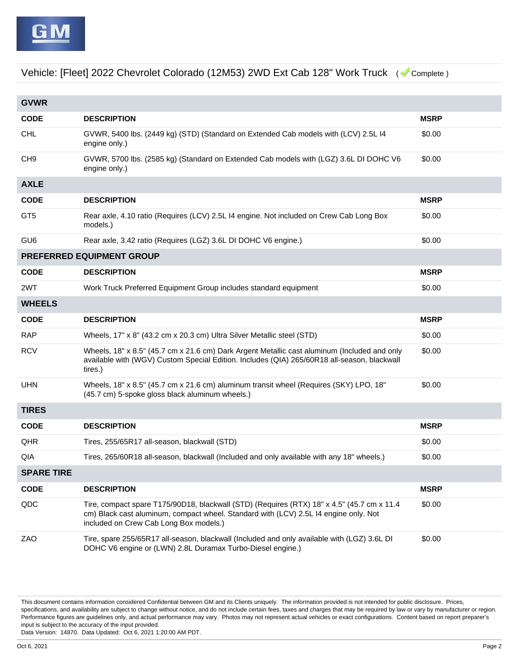| <b>GVWR</b>       |                                                                                                                                                                                                                              |             |
|-------------------|------------------------------------------------------------------------------------------------------------------------------------------------------------------------------------------------------------------------------|-------------|
| <b>CODE</b>       | <b>DESCRIPTION</b>                                                                                                                                                                                                           | <b>MSRP</b> |
| <b>CHL</b>        | GVWR, 5400 lbs. (2449 kg) (STD) (Standard on Extended Cab models with (LCV) 2.5L I4<br>engine only.)                                                                                                                         | \$0.00      |
| CH <sub>9</sub>   | GVWR, 5700 lbs. (2585 kg) (Standard on Extended Cab models with (LGZ) 3.6L DI DOHC V6<br>engine only.)                                                                                                                       | \$0.00      |
| <b>AXLE</b>       |                                                                                                                                                                                                                              |             |
| <b>CODE</b>       | <b>DESCRIPTION</b>                                                                                                                                                                                                           | <b>MSRP</b> |
| GT <sub>5</sub>   | Rear axle, 4.10 ratio (Requires (LCV) 2.5L 14 engine. Not included on Crew Cab Long Box<br>models.)                                                                                                                          | \$0.00      |
| GU <sub>6</sub>   | Rear axle, 3.42 ratio (Requires (LGZ) 3.6L DI DOHC V6 engine.)                                                                                                                                                               | \$0.00      |
|                   | PREFERRED EQUIPMENT GROUP                                                                                                                                                                                                    |             |
| <b>CODE</b>       | <b>DESCRIPTION</b>                                                                                                                                                                                                           | <b>MSRP</b> |
| 2WT               | Work Truck Preferred Equipment Group includes standard equipment                                                                                                                                                             | \$0.00      |
| <b>WHEELS</b>     |                                                                                                                                                                                                                              |             |
| <b>CODE</b>       | <b>DESCRIPTION</b>                                                                                                                                                                                                           | <b>MSRP</b> |
| <b>RAP</b>        | Wheels, 17" x 8" (43.2 cm x 20.3 cm) Ultra Silver Metallic steel (STD)                                                                                                                                                       | \$0.00      |
| <b>RCV</b>        | Wheels, 18" x 8.5" (45.7 cm x 21.6 cm) Dark Argent Metallic cast aluminum (Included and only<br>available with (WGV) Custom Special Edition. Includes (QIA) 265/60R18 all-season, blackwall<br>tires.)                       | \$0.00      |
| <b>UHN</b>        | Wheels, 18" x 8.5" (45.7 cm x 21.6 cm) aluminum transit wheel (Requires (SKY) LPO, 18"<br>(45.7 cm) 5-spoke gloss black aluminum wheels.)                                                                                    | \$0.00      |
| <b>TIRES</b>      |                                                                                                                                                                                                                              |             |
| <b>CODE</b>       | <b>DESCRIPTION</b>                                                                                                                                                                                                           | <b>MSRP</b> |
| QHR               | Tires, 255/65R17 all-season, blackwall (STD)                                                                                                                                                                                 | \$0.00      |
| QIA               | Tires, 265/60R18 all-season, blackwall (Included and only available with any 18" wheels.)                                                                                                                                    | \$0.00      |
| <b>SPARE TIRE</b> |                                                                                                                                                                                                                              |             |
| <b>CODE</b>       | <b>DESCRIPTION</b>                                                                                                                                                                                                           | <b>MSRP</b> |
| QDC               | Tire, compact spare T175/90D18, blackwall (STD) (Requires (RTX) 18" x 4.5" (45.7 cm x 11.4<br>cm) Black cast aluminum, compact wheel. Standard with (LCV) 2.5L I4 engine only. Not<br>included on Crew Cab Long Box models.) | \$0.00      |
| ZAO               | Tire, spare 255/65R17 all-season, blackwall (Included and only available with (LGZ) 3.6L DI<br>DOHC V6 engine or (LWN) 2.8L Duramax Turbo-Diesel engine.)                                                                    | \$0.00      |

This document contains information considered Confidential between GM and its Clients uniquely. The information provided is not intended for public disclosure. Prices, specifications, and availability are subject to change without notice, and do not include certain fees, taxes and charges that may be required by law or vary by manufacturer or region. Performance figures are guidelines only, and actual performance may vary. Photos may not represent actual vehicles or exact configurations. Content based on report preparer's input is subject to the accuracy of the input provided. Data Version: 14870. Data Updated: Oct 6, 2021 1:20:00 AM PDT.

Oct 6, 2021 Page 2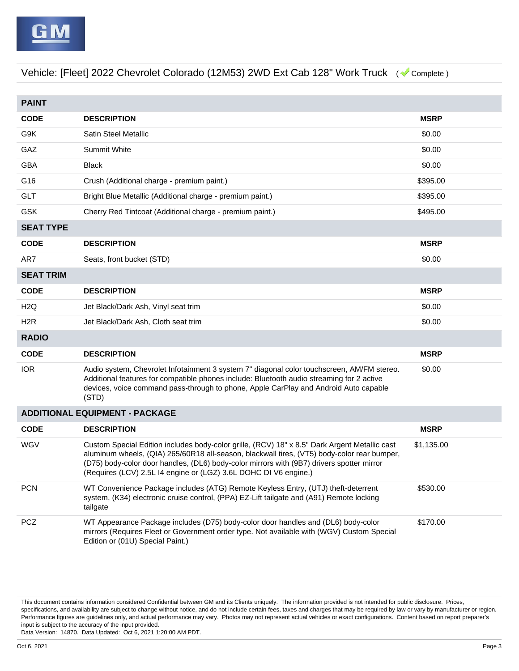| <b>PAINT</b>     |                                                                                                                                                                                                                                                                                                                                                               |             |
|------------------|---------------------------------------------------------------------------------------------------------------------------------------------------------------------------------------------------------------------------------------------------------------------------------------------------------------------------------------------------------------|-------------|
| <b>CODE</b>      | <b>DESCRIPTION</b>                                                                                                                                                                                                                                                                                                                                            | <b>MSRP</b> |
| G9K              | Satin Steel Metallic                                                                                                                                                                                                                                                                                                                                          | \$0.00      |
| GAZ              | <b>Summit White</b>                                                                                                                                                                                                                                                                                                                                           | \$0.00      |
| <b>GBA</b>       | <b>Black</b>                                                                                                                                                                                                                                                                                                                                                  | \$0.00      |
| G16              | Crush (Additional charge - premium paint.)                                                                                                                                                                                                                                                                                                                    | \$395.00    |
| <b>GLT</b>       | Bright Blue Metallic (Additional charge - premium paint.)                                                                                                                                                                                                                                                                                                     | \$395.00    |
| <b>GSK</b>       | Cherry Red Tintcoat (Additional charge - premium paint.)                                                                                                                                                                                                                                                                                                      | \$495.00    |
| <b>SEAT TYPE</b> |                                                                                                                                                                                                                                                                                                                                                               |             |
| <b>CODE</b>      | <b>DESCRIPTION</b>                                                                                                                                                                                                                                                                                                                                            | <b>MSRP</b> |
| AR7              | Seats, front bucket (STD)                                                                                                                                                                                                                                                                                                                                     | \$0.00      |
| <b>SEAT TRIM</b> |                                                                                                                                                                                                                                                                                                                                                               |             |
| <b>CODE</b>      | <b>DESCRIPTION</b>                                                                                                                                                                                                                                                                                                                                            | <b>MSRP</b> |
| H <sub>2</sub> Q | Jet Black/Dark Ash, Vinyl seat trim                                                                                                                                                                                                                                                                                                                           | \$0.00      |
| H <sub>2</sub> R | Jet Black/Dark Ash, Cloth seat trim                                                                                                                                                                                                                                                                                                                           | \$0.00      |
| <b>RADIO</b>     |                                                                                                                                                                                                                                                                                                                                                               |             |
| <b>CODE</b>      | <b>DESCRIPTION</b>                                                                                                                                                                                                                                                                                                                                            | <b>MSRP</b> |
| <b>IOR</b>       | Audio system, Chevrolet Infotainment 3 system 7" diagonal color touchscreen, AM/FM stereo.<br>Additional features for compatible phones include: Bluetooth audio streaming for 2 active<br>devices, voice command pass-through to phone, Apple CarPlay and Android Auto capable<br>(STD)                                                                      | \$0.00      |
|                  | <b>ADDITIONAL EQUIPMENT - PACKAGE</b>                                                                                                                                                                                                                                                                                                                         |             |
| <b>CODE</b>      | <b>DESCRIPTION</b>                                                                                                                                                                                                                                                                                                                                            | <b>MSRP</b> |
| <b>WGV</b>       | Custom Special Edition includes body-color grille, (RCV) 18" x 8.5" Dark Argent Metallic cast<br>aluminum wheels, (QIA) 265/60R18 all-season, blackwall tires, (VT5) body-color rear bumper,<br>(D75) body-color door handles, (DL6) body-color mirrors with (9B7) drivers spotter mirror<br>(Requires (LCV) 2.5L I4 engine or (LGZ) 3.6L DOHC DI V6 engine.) | \$1,135.00  |
| <b>PCN</b>       | WT Convenience Package includes (ATG) Remote Keyless Entry, (UTJ) theft-deterrent<br>system, (K34) electronic cruise control, (PPA) EZ-Lift tailgate and (A91) Remote locking<br>tailgate                                                                                                                                                                     | \$530.00    |
| <b>PCZ</b>       | WT Appearance Package includes (D75) body-color door handles and (DL6) body-color<br>mirrors (Requires Fleet or Government order type. Not available with (WGV) Custom Special<br>Edition or (01U) Special Paint.)                                                                                                                                            | \$170.00    |

This document contains information considered Confidential between GM and its Clients uniquely. The information provided is not intended for public disclosure. Prices, specifications, and availability are subject to change without notice, and do not include certain fees, taxes and charges that may be required by law or vary by manufacturer or region. Performance figures are guidelines only, and actual performance may vary. Photos may not represent actual vehicles or exact configurations. Content based on report preparer's input is subject to the accuracy of the input provided.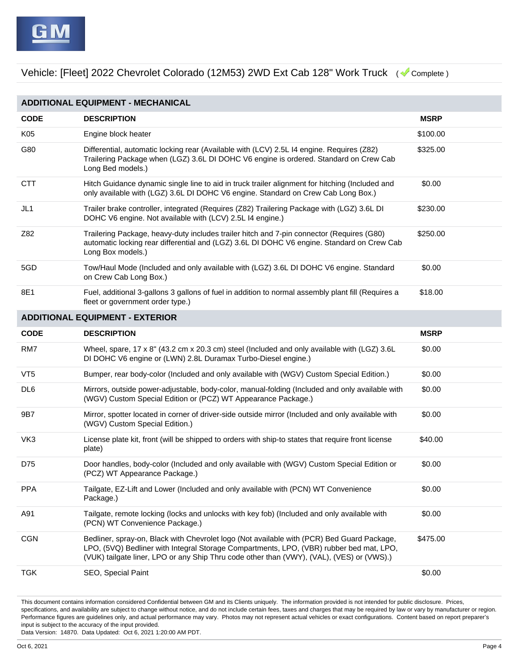|                 | <b>ADDITIONAL EQUIPMENT - MECHANICAL</b>                                                                                                                                                                                                                                           |             |
|-----------------|------------------------------------------------------------------------------------------------------------------------------------------------------------------------------------------------------------------------------------------------------------------------------------|-------------|
| <b>CODE</b>     | <b>DESCRIPTION</b>                                                                                                                                                                                                                                                                 | <b>MSRP</b> |
| K05             | Engine block heater                                                                                                                                                                                                                                                                | \$100.00    |
| G80             | Differential, automatic locking rear (Available with (LCV) 2.5L I4 engine. Requires (Z82)<br>Trailering Package when (LGZ) 3.6L DI DOHC V6 engine is ordered. Standard on Crew Cab<br>Long Bed models.)                                                                            | \$325.00    |
| <b>CTT</b>      | Hitch Guidance dynamic single line to aid in truck trailer alignment for hitching (Included and<br>only available with (LGZ) 3.6L DI DOHC V6 engine. Standard on Crew Cab Long Box.)                                                                                               | \$0.00      |
| JL1             | Trailer brake controller, integrated (Requires (Z82) Trailering Package with (LGZ) 3.6L DI<br>DOHC V6 engine. Not available with (LCV) 2.5L I4 engine.)                                                                                                                            | \$230.00    |
| Z82             | Trailering Package, heavy-duty includes trailer hitch and 7-pin connector (Requires (G80)<br>automatic locking rear differential and (LGZ) 3.6L DI DOHC V6 engine. Standard on Crew Cab<br>Long Box models.)                                                                       | \$250.00    |
| 5GD             | Tow/Haul Mode (Included and only available with (LGZ) 3.6L DI DOHC V6 engine. Standard<br>on Crew Cab Long Box.)                                                                                                                                                                   | \$0.00      |
| 8E1             | Fuel, additional 3-gallons 3 gallons of fuel in addition to normal assembly plant fill (Requires a<br>fleet or government order type.)                                                                                                                                             | \$18.00     |
|                 | <b>ADDITIONAL EQUIPMENT - EXTERIOR</b>                                                                                                                                                                                                                                             |             |
| <b>CODE</b>     | <b>DESCRIPTION</b>                                                                                                                                                                                                                                                                 | <b>MSRP</b> |
| RM7             | Wheel, spare, 17 x 8" (43.2 cm x 20.3 cm) steel (Included and only available with (LGZ) 3.6L<br>DI DOHC V6 engine or (LWN) 2.8L Duramax Turbo-Diesel engine.)                                                                                                                      | \$0.00      |
| VT <sub>5</sub> | Bumper, rear body-color (Included and only available with (WGV) Custom Special Edition.)                                                                                                                                                                                           | \$0.00      |
| DL <sub>6</sub> | Mirrors, outside power-adjustable, body-color, manual-folding (Included and only available with<br>(WGV) Custom Special Edition or (PCZ) WT Appearance Package.)                                                                                                                   | \$0.00      |
| 9B7             | Mirror, spotter located in corner of driver-side outside mirror (Included and only available with<br>(WGV) Custom Special Edition.)                                                                                                                                                | \$0.00      |
| VK3             | License plate kit, front (will be shipped to orders with ship-to states that require front license<br>plate)                                                                                                                                                                       | \$40.00     |
| D75             | Door handles, body-color (Included and only available with (WGV) Custom Special Edition or<br>(PCZ) WT Appearance Package.)                                                                                                                                                        | \$0.00      |
| <b>PPA</b>      | Tailgate, EZ-Lift and Lower (Included and only available with (PCN) WT Convenience<br>Package.)                                                                                                                                                                                    | \$0.00      |
| A91             | Tailgate, remote locking (locks and unlocks with key fob) (Included and only available with<br>(PCN) WT Convenience Package.)                                                                                                                                                      | \$0.00      |
| <b>CGN</b>      | Bedliner, spray-on, Black with Chevrolet logo (Not available with (PCR) Bed Guard Package,<br>LPO, (5VQ) Bedliner with Integral Storage Compartments, LPO, (VBR) rubber bed mat, LPO,<br>(VUK) tailgate liner, LPO or any Ship Thru code other than (VWY), (VAL), (VES) or (VWS).) | \$475.00    |
| <b>TGK</b>      | SEO, Special Paint                                                                                                                                                                                                                                                                 | \$0.00      |

This document contains information considered Confidential between GM and its Clients uniquely. The information provided is not intended for public disclosure. Prices, specifications, and availability are subject to change without notice, and do not include certain fees, taxes and charges that may be required by law or vary by manufacturer or region. Performance figures are guidelines only, and actual performance may vary. Photos may not represent actual vehicles or exact configurations. Content based on report preparer's input is subject to the accuracy of the input provided.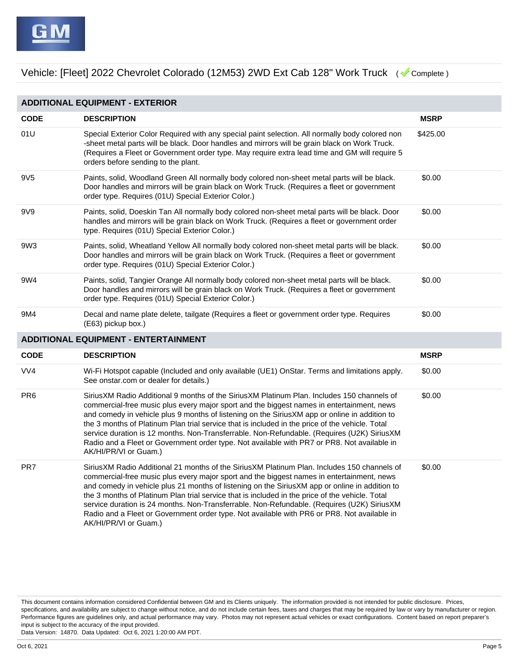|                 | <b>ADDITIONAL EQUIPMENT - EXTERIOR</b>                                                                                                                                                                                                                                                                                                                                                                                                                                                                                                                                                                              |             |
|-----------------|---------------------------------------------------------------------------------------------------------------------------------------------------------------------------------------------------------------------------------------------------------------------------------------------------------------------------------------------------------------------------------------------------------------------------------------------------------------------------------------------------------------------------------------------------------------------------------------------------------------------|-------------|
| <b>CODE</b>     | <b>DESCRIPTION</b>                                                                                                                                                                                                                                                                                                                                                                                                                                                                                                                                                                                                  | <b>MSRP</b> |
| 01U             | Special Exterior Color Required with any special paint selection. All normally body colored non<br>-sheet metal parts will be black. Door handles and mirrors will be grain black on Work Truck.<br>(Requires a Fleet or Government order type. May require extra lead time and GM will require 5<br>orders before sending to the plant.                                                                                                                                                                                                                                                                            | \$425.00    |
| 9V <sub>5</sub> | Paints, solid, Woodland Green All normally body colored non-sheet metal parts will be black.<br>Door handles and mirrors will be grain black on Work Truck. (Requires a fleet or government<br>order type. Requires (01U) Special Exterior Color.)                                                                                                                                                                                                                                                                                                                                                                  | \$0.00      |
| 9V9             | Paints, solid, Doeskin Tan All normally body colored non-sheet metal parts will be black. Door<br>handles and mirrors will be grain black on Work Truck. (Requires a fleet or government order<br>type. Requires (01U) Special Exterior Color.)                                                                                                                                                                                                                                                                                                                                                                     | \$0.00      |
| 9W <sub>3</sub> | Paints, solid, Wheatland Yellow All normally body colored non-sheet metal parts will be black.<br>Door handles and mirrors will be grain black on Work Truck. (Requires a fleet or government<br>order type. Requires (01U) Special Exterior Color.)                                                                                                                                                                                                                                                                                                                                                                | \$0.00      |
| 9W4             | Paints, solid, Tangier Orange All normally body colored non-sheet metal parts will be black.<br>Door handles and mirrors will be grain black on Work Truck. (Requires a fleet or government<br>order type. Requires (01U) Special Exterior Color.)                                                                                                                                                                                                                                                                                                                                                                  | \$0.00      |
| 9M4             | Decal and name plate delete, tailgate (Requires a fleet or government order type. Requires<br>$(E63)$ pickup box.)                                                                                                                                                                                                                                                                                                                                                                                                                                                                                                  | \$0.00      |
|                 | <b>ADDITIONAL EQUIPMENT - ENTERTAINMENT</b>                                                                                                                                                                                                                                                                                                                                                                                                                                                                                                                                                                         |             |
| <b>CODE</b>     | <b>DESCRIPTION</b>                                                                                                                                                                                                                                                                                                                                                                                                                                                                                                                                                                                                  | <b>MSRP</b> |
| VV4             | Wi-Fi Hotspot capable (Included and only available (UE1) OnStar. Terms and limitations apply.<br>See onstar.com or dealer for details.)                                                                                                                                                                                                                                                                                                                                                                                                                                                                             | \$0.00      |
| PR <sub>6</sub> | Sirius XM Radio Additional 9 months of the Sirius XM Platinum Plan. Includes 150 channels of<br>commercial-free music plus every major sport and the biggest names in entertainment, news<br>and comedy in vehicle plus 9 months of listening on the SiriusXM app or online in addition to<br>the 3 months of Platinum Plan trial service that is included in the price of the vehicle. Total<br>service duration is 12 months. Non-Transferrable. Non-Refundable. (Requires (U2K) SiriusXM<br>Radio and a Fleet or Government order type. Not available with PR7 or PR8. Not available in<br>AK/HI/PR/VI or Guam.) | \$0.00      |
| PR7             | SiriusXM Radio Additional 21 months of the SiriusXM Platinum Plan. Includes 150 channels of<br>commercial-free music plus every major sport and the biggest names in entertainment, news<br>and comedy in vehicle plus 21 months of listening on the SiriusXM app or online in addition to<br>the 3 months of Platinum Plan trial service that is included in the price of the vehicle. Total<br>service duration is 24 months. Non-Transferrable. Non-Refundable. (Requires (U2K) SiriusXM<br>Radio and a Fleet or Government order type. Not available with PR6 or PR8. Not available in<br>AK/HI/PR/VI or Guam.) | \$0.00      |

This document contains information considered Confidential between GM and its Clients uniquely. The information provided is not intended for public disclosure. Prices, specifications, and availability are subject to change without notice, and do not include certain fees, taxes and charges that may be required by law or vary by manufacturer or region. Performance figures are guidelines only, and actual performance may vary. Photos may not represent actual vehicles or exact configurations. Content based on report preparer's input is subject to the accuracy of the input provided.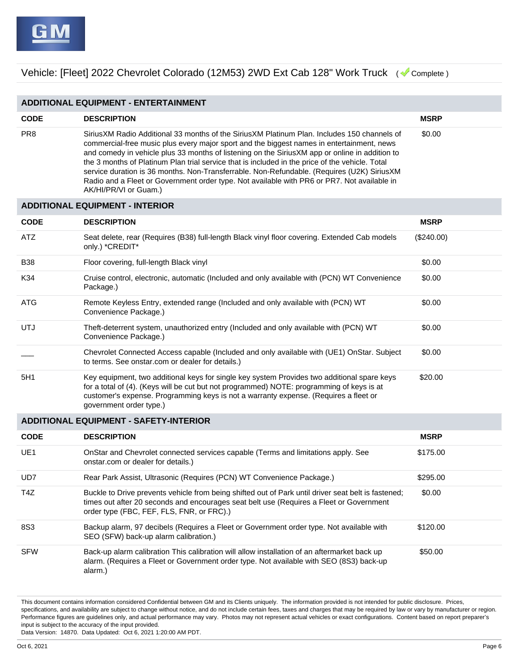| <b>ADDITIONAL EQUIPMENT - ENTERTAINMENT</b> |                                                                                                                                                                                                                                                                                                                                                                                                                                                                                                                                                                                                                     |             |
|---------------------------------------------|---------------------------------------------------------------------------------------------------------------------------------------------------------------------------------------------------------------------------------------------------------------------------------------------------------------------------------------------------------------------------------------------------------------------------------------------------------------------------------------------------------------------------------------------------------------------------------------------------------------------|-------------|
| <b>CODE</b>                                 | <b>DESCRIPTION</b>                                                                                                                                                                                                                                                                                                                                                                                                                                                                                                                                                                                                  | <b>MSRP</b> |
| PR <sub>8</sub>                             | SiriusXM Radio Additional 33 months of the SiriusXM Platinum Plan. Includes 150 channels of<br>commercial-free music plus every major sport and the biggest names in entertainment, news<br>and comedy in vehicle plus 33 months of listening on the SiriusXM app or online in addition to<br>the 3 months of Platinum Plan trial service that is included in the price of the vehicle. Total<br>service duration is 36 months. Non-Transferrable. Non-Refundable. (Requires (U2K) SiriusXM<br>Radio and a Fleet or Government order type. Not available with PR6 or PR7. Not available in<br>AK/HI/PR/VI or Guam.) | \$0.00      |

| <b>ADDITIONAL EQUIPMENT - INTERIOR</b> |                                                                                                                                                                                                                                                                                                             |             |
|----------------------------------------|-------------------------------------------------------------------------------------------------------------------------------------------------------------------------------------------------------------------------------------------------------------------------------------------------------------|-------------|
| <b>CODE</b>                            | <b>DESCRIPTION</b>                                                                                                                                                                                                                                                                                          | <b>MSRP</b> |
| <b>ATZ</b>                             | Seat delete, rear (Requires (B38) full-length Black vinyl floor covering. Extended Cab models<br>only.) *CREDIT*                                                                                                                                                                                            | (\$240.00)  |
| <b>B38</b>                             | Floor covering, full-length Black vinyl                                                                                                                                                                                                                                                                     | \$0.00      |
| K34                                    | Cruise control, electronic, automatic (Included and only available with (PCN) WT Convenience<br>Package.)                                                                                                                                                                                                   | \$0.00      |
| ATG                                    | Remote Keyless Entry, extended range (Included and only available with (PCN) WT<br>Convenience Package.)                                                                                                                                                                                                    | \$0.00      |
| UTJ                                    | Theft-deterrent system, unauthorized entry (Included and only available with (PCN) WT<br>Convenience Package.)                                                                                                                                                                                              | \$0.00      |
|                                        | Chevrolet Connected Access capable (Included and only available with (UE1) OnStar. Subject<br>to terms. See onstar.com or dealer for details.)                                                                                                                                                              | \$0.00      |
| 5H1                                    | Key equipment, two additional keys for single key system Provides two additional spare keys<br>for a total of (4). (Keys will be cut but not programmed) NOTE: programming of keys is at<br>customer's expense. Programming keys is not a warranty expense. (Requires a fleet or<br>government order type.) | \$20.00     |
| ADDITIONAL EQUIPMENT - SAFETY-INTERIOR |                                                                                                                                                                                                                                                                                                             |             |

| <b>CODE</b>     | <b>DESCRIPTION</b>                                                                                                                                                                                                                          | <b>MSRP</b> |
|-----------------|---------------------------------------------------------------------------------------------------------------------------------------------------------------------------------------------------------------------------------------------|-------------|
| UE <sub>1</sub> | OnStar and Chevrolet connected services capable (Terms and limitations apply. See<br>onstar.com or dealer for details.)                                                                                                                     | \$175.00    |
| UD7             | Rear Park Assist, Ultrasonic (Requires (PCN) WT Convenience Package.)                                                                                                                                                                       | \$295.00    |
| T47             | Buckle to Drive prevents vehicle from being shifted out of Park until driver seat belt is fastened;<br>times out after 20 seconds and encourages seat belt use (Requires a Fleet or Government<br>order type (FBC, FEF, FLS, FNR, or FRC).) | \$0.00      |
| 8S3             | Backup alarm, 97 decibels (Requires a Fleet or Government order type. Not available with<br>SEO (SFW) back-up alarm calibration.)                                                                                                           | \$120.00    |
| <b>SFW</b>      | Back-up alarm calibration This calibration will allow installation of an aftermarket back up<br>alarm. (Requires a Fleet or Government order type. Not available with SEO (8S3) back-up<br>alarm.)                                          | \$50.00     |

This document contains information considered Confidential between GM and its Clients uniquely. The information provided is not intended for public disclosure. Prices, specifications, and availability are subject to change without notice, and do not include certain fees, taxes and charges that may be required by law or vary by manufacturer or region. Performance figures are guidelines only, and actual performance may vary. Photos may not represent actual vehicles or exact configurations. Content based on report preparer's input is subject to the accuracy of the input provided.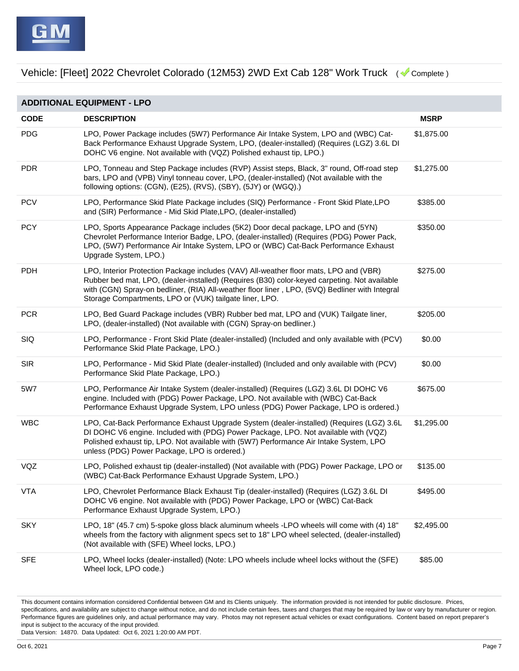|  | ADDITIONAL EQUIPMENT - LPO |
|--|----------------------------|
|--|----------------------------|

| <b>CODE</b> | <b>DESCRIPTION</b>                                                                                                                                                                                                                                                                                                                                 | <b>MSRP</b> |
|-------------|----------------------------------------------------------------------------------------------------------------------------------------------------------------------------------------------------------------------------------------------------------------------------------------------------------------------------------------------------|-------------|
| <b>PDG</b>  | LPO, Power Package includes (5W7) Performance Air Intake System, LPO and (WBC) Cat-<br>Back Performance Exhaust Upgrade System, LPO, (dealer-installed) (Requires (LGZ) 3.6L DI<br>DOHC V6 engine. Not available with (VQZ) Polished exhaust tip, LPO.)                                                                                            | \$1,875.00  |
| <b>PDR</b>  | LPO, Tonneau and Step Package includes (RVP) Assist steps, Black, 3" round, Off-road step<br>bars, LPO and (VPB) Vinyl tonneau cover, LPO, (dealer-installed) (Not available with the<br>following options: (CGN), (E25), (RVS), (SBY), (5JY) or (WGQ).)                                                                                           | \$1,275.00  |
| <b>PCV</b>  | LPO, Performance Skid Plate Package includes (SIQ) Performance - Front Skid Plate, LPO<br>and (SIR) Performance - Mid Skid Plate, LPO, (dealer-installed)                                                                                                                                                                                          | \$385.00    |
| <b>PCY</b>  | LPO, Sports Appearance Package includes (5K2) Door decal package, LPO and (5YN)<br>Chevrolet Performance Interior Badge, LPO, (dealer-installed) (Requires (PDG) Power Pack,<br>LPO, (5W7) Performance Air Intake System, LPO or (WBC) Cat-Back Performance Exhaust<br>Upgrade System, LPO.)                                                       | \$350.00    |
| <b>PDH</b>  | LPO, Interior Protection Package includes (VAV) All-weather floor mats, LPO and (VBR)<br>Rubber bed mat, LPO, (dealer-installed) (Requires (B30) color-keyed carpeting. Not available<br>with (CGN) Spray-on bedliner, (RIA) All-weather floor liner, LPO, (5VQ) Bedliner with Integral<br>Storage Compartments, LPO or (VUK) tailgate liner, LPO. | \$275.00    |
| <b>PCR</b>  | LPO, Bed Guard Package includes (VBR) Rubber bed mat, LPO and (VUK) Tailgate liner,<br>LPO, (dealer-installed) (Not available with (CGN) Spray-on bedliner.)                                                                                                                                                                                       | \$205.00    |
| SIQ         | LPO, Performance - Front Skid Plate (dealer-installed) (Included and only available with (PCV)<br>Performance Skid Plate Package, LPO.)                                                                                                                                                                                                            | \$0.00      |
| <b>SIR</b>  | LPO, Performance - Mid Skid Plate (dealer-installed) (Included and only available with (PCV)<br>Performance Skid Plate Package, LPO.)                                                                                                                                                                                                              | \$0.00      |
| 5W7         | LPO, Performance Air Intake System (dealer-installed) (Requires (LGZ) 3.6L DI DOHC V6<br>engine. Included with (PDG) Power Package, LPO. Not available with (WBC) Cat-Back<br>Performance Exhaust Upgrade System, LPO unless (PDG) Power Package, LPO is ordered.)                                                                                 | \$675.00    |
| <b>WBC</b>  | LPO, Cat-Back Performance Exhaust Upgrade System (dealer-installed) (Requires (LGZ) 3.6L<br>DI DOHC V6 engine. Included with (PDG) Power Package, LPO. Not available with (VQZ)<br>Polished exhaust tip, LPO. Not available with (5W7) Performance Air Intake System, LPO<br>unless (PDG) Power Package, LPO is ordered.)                          | \$1,295.00  |
| VQZ         | LPO, Polished exhaust tip (dealer-installed) (Not available with (PDG) Power Package, LPO or<br>(WBC) Cat-Back Performance Exhaust Upgrade System, LPO.)                                                                                                                                                                                           | \$135.00    |
| <b>VTA</b>  | LPO, Chevrolet Performance Black Exhaust Tip (dealer-installed) (Requires (LGZ) 3.6L DI<br>DOHC V6 engine. Not available with (PDG) Power Package, LPO or (WBC) Cat-Back<br>Performance Exhaust Upgrade System, LPO.)                                                                                                                              | \$495.00    |
| <b>SKY</b>  | LPO, 18" (45.7 cm) 5-spoke gloss black aluminum wheels -LPO wheels will come with (4) 18"<br>wheels from the factory with alignment specs set to 18" LPO wheel selected, (dealer-installed)<br>(Not available with (SFE) Wheel locks, LPO.)                                                                                                        | \$2,495.00  |
| <b>SFE</b>  | LPO, Wheel locks (dealer-installed) (Note: LPO wheels include wheel locks without the (SFE)<br>Wheel lock, LPO code.)                                                                                                                                                                                                                              | \$85.00     |

This document contains information considered Confidential between GM and its Clients uniquely. The information provided is not intended for public disclosure. Prices, specifications, and availability are subject to change without notice, and do not include certain fees, taxes and charges that may be required by law or vary by manufacturer or region. Performance figures are guidelines only, and actual performance may vary. Photos may not represent actual vehicles or exact configurations. Content based on report preparer's input is subject to the accuracy of the input provided.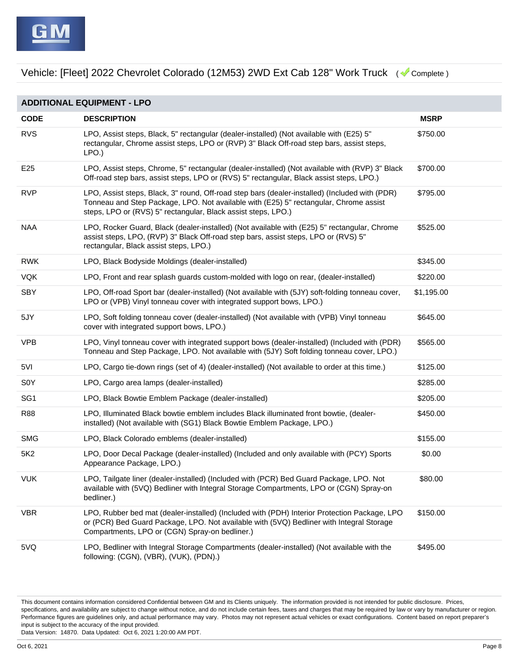|  | ADDITIONAL EQUIPMENT - LPO |
|--|----------------------------|
|--|----------------------------|

| <b>CODE</b>      | <b>DESCRIPTION</b>                                                                                                                                                                                                                                       | <b>MSRP</b> |
|------------------|----------------------------------------------------------------------------------------------------------------------------------------------------------------------------------------------------------------------------------------------------------|-------------|
| <b>RVS</b>       | LPO, Assist steps, Black, 5" rectangular (dealer-installed) (Not available with (E25) 5"<br>rectangular, Chrome assist steps, LPO or (RVP) 3" Black Off-road step bars, assist steps,<br>LPO.)                                                           | \$750.00    |
| E <sub>25</sub>  | LPO, Assist steps, Chrome, 5" rectangular (dealer-installed) (Not available with (RVP) 3" Black<br>Off-road step bars, assist steps, LPO or (RVS) 5" rectangular, Black assist steps, LPO.)                                                              | \$700.00    |
| <b>RVP</b>       | LPO, Assist steps, Black, 3" round, Off-road step bars (dealer-installed) (Included with (PDR)<br>Tonneau and Step Package, LPO. Not available with (E25) 5" rectangular, Chrome assist<br>steps, LPO or (RVS) 5" rectangular, Black assist steps, LPO.) | \$795.00    |
| <b>NAA</b>       | LPO, Rocker Guard, Black (dealer-installed) (Not available with (E25) 5" rectangular, Chrome<br>assist steps, LPO, (RVP) 3" Black Off-road step bars, assist steps, LPO or (RVS) 5"<br>rectangular, Black assist steps, LPO.)                            | \$525.00    |
| <b>RWK</b>       | LPO, Black Bodyside Moldings (dealer-installed)                                                                                                                                                                                                          | \$345.00    |
| <b>VQK</b>       | LPO, Front and rear splash guards custom-molded with logo on rear, (dealer-installed)                                                                                                                                                                    | \$220.00    |
| <b>SBY</b>       | LPO, Off-road Sport bar (dealer-installed) (Not available with (5JY) soft-folding tonneau cover,<br>LPO or (VPB) Vinyl tonneau cover with integrated support bows, LPO.)                                                                                 | \$1,195.00  |
| 5JY              | LPO, Soft folding tonneau cover (dealer-installed) (Not available with (VPB) Vinyl tonneau<br>cover with integrated support bows, LPO.)                                                                                                                  | \$645.00    |
| <b>VPB</b>       | LPO, Vinyl tonneau cover with integrated support bows (dealer-installed) (Included with (PDR)<br>Tonneau and Step Package, LPO. Not available with (5JY) Soft folding tonneau cover, LPO.)                                                               | \$565.00    |
| 5VI              | LPO, Cargo tie-down rings (set of 4) (dealer-installed) (Not available to order at this time.)                                                                                                                                                           | \$125.00    |
| S <sub>0</sub> Y | LPO, Cargo area lamps (dealer-installed)                                                                                                                                                                                                                 | \$285.00    |
| SG <sub>1</sub>  | LPO, Black Bowtie Emblem Package (dealer-installed)                                                                                                                                                                                                      | \$205.00    |
| <b>R88</b>       | LPO, Illuminated Black bowtie emblem includes Black illuminated front bowtie, (dealer-<br>installed) (Not available with (SG1) Black Bowtie Emblem Package, LPO.)                                                                                        | \$450.00    |
| <b>SMG</b>       | LPO, Black Colorado emblems (dealer-installed)                                                                                                                                                                                                           | \$155.00    |
| 5K <sub>2</sub>  | LPO, Door Decal Package (dealer-installed) (Included and only available with (PCY) Sports<br>Appearance Package, LPO.)                                                                                                                                   | \$0.00      |
| <b>VUK</b>       | LPO, Tailgate liner (dealer-installed) (Included with (PCR) Bed Guard Package, LPO. Not<br>available with (5VQ) Bedliner with Integral Storage Compartments, LPO or (CGN) Spray-on<br>bedliner.)                                                         | \$80.00     |
| <b>VBR</b>       | LPO, Rubber bed mat (dealer-installed) (Included with (PDH) Interior Protection Package, LPO<br>or (PCR) Bed Guard Package, LPO. Not available with (5VQ) Bedliner with Integral Storage<br>Compartments, LPO or (CGN) Spray-on bedliner.)               | \$150.00    |
| 5VQ              | LPO, Bedliner with Integral Storage Compartments (dealer-installed) (Not available with the<br>following: (CGN), (VBR), (VUK), (PDN).)                                                                                                                   | \$495.00    |

This document contains information considered Confidential between GM and its Clients uniquely. The information provided is not intended for public disclosure. Prices, specifications, and availability are subject to change without notice, and do not include certain fees, taxes and charges that may be required by law or vary by manufacturer or region. Performance figures are guidelines only, and actual performance may vary. Photos may not represent actual vehicles or exact configurations. Content based on report preparer's input is subject to the accuracy of the input provided.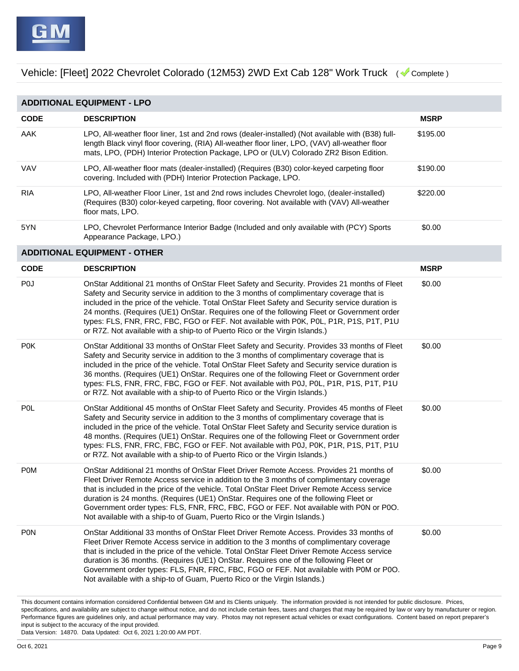| <b>ADDITIONAL EQUIPMENT - LPO</b> |                                                                                                                                                                                                                                                                                                                                                                                                                                                                                                                                                                      |             |
|-----------------------------------|----------------------------------------------------------------------------------------------------------------------------------------------------------------------------------------------------------------------------------------------------------------------------------------------------------------------------------------------------------------------------------------------------------------------------------------------------------------------------------------------------------------------------------------------------------------------|-------------|
| <b>CODE</b>                       | <b>DESCRIPTION</b>                                                                                                                                                                                                                                                                                                                                                                                                                                                                                                                                                   | <b>MSRP</b> |
| AAK                               | LPO, All-weather floor liner, 1st and 2nd rows (dealer-installed) (Not available with (B38) full-<br>length Black vinyl floor covering, (RIA) All-weather floor liner, LPO, (VAV) all-weather floor<br>mats, LPO, (PDH) Interior Protection Package, LPO or (ULV) Colorado ZR2 Bison Edition.                                                                                                                                                                                                                                                                        | \$195.00    |
| VAV                               | LPO, All-weather floor mats (dealer-installed) (Requires (B30) color-keyed carpeting floor<br>covering. Included with (PDH) Interior Protection Package, LPO.                                                                                                                                                                                                                                                                                                                                                                                                        | \$190.00    |
| <b>RIA</b>                        | LPO, All-weather Floor Liner, 1st and 2nd rows includes Chevrolet logo, (dealer-installed)<br>(Requires (B30) color-keyed carpeting, floor covering. Not available with (VAV) All-weather<br>floor mats, LPO.                                                                                                                                                                                                                                                                                                                                                        | \$220.00    |
| 5YN                               | LPO, Chevrolet Performance Interior Badge (Included and only available with (PCY) Sports<br>Appearance Package, LPO.)                                                                                                                                                                                                                                                                                                                                                                                                                                                | \$0.00      |
|                                   | <b>ADDITIONAL EQUIPMENT - OTHER</b>                                                                                                                                                                                                                                                                                                                                                                                                                                                                                                                                  |             |
| <b>CODE</b>                       | <b>DESCRIPTION</b>                                                                                                                                                                                                                                                                                                                                                                                                                                                                                                                                                   | <b>MSRP</b> |
| P <sub>0</sub>                    | OnStar Additional 21 months of OnStar Fleet Safety and Security. Provides 21 months of Fleet<br>Safety and Security service in addition to the 3 months of complimentary coverage that is<br>included in the price of the vehicle. Total OnStar Fleet Safety and Security service duration is<br>24 months. (Requires (UE1) OnStar. Requires one of the following Fleet or Government order<br>types: FLS, FNR, FRC, FBC, FGO or FEF. Not available with P0K, P0L, P1R, P1S, P1T, P1U<br>or R7Z. Not available with a ship-to of Puerto Rico or the Virgin Islands.) | \$0.00      |
| P0K                               | OnStar Additional 33 months of OnStar Fleet Safety and Security. Provides 33 months of Fleet<br>Safety and Security service in addition to the 3 months of complimentary coverage that is<br>included in the price of the vehicle. Total OnStar Fleet Safety and Security service duration is<br>36 months. (Requires (UE1) OnStar. Requires one of the following Fleet or Government order<br>types: FLS, FNR, FRC, FBC, FGO or FEF. Not available with P0J, P0L, P1R, P1S, P1T, P1U<br>or R7Z. Not available with a ship-to of Puerto Rico or the Virgin Islands.) | \$0.00      |
| P <sub>0</sub> L                  | OnStar Additional 45 months of OnStar Fleet Safety and Security. Provides 45 months of Fleet<br>Safety and Security service in addition to the 3 months of complimentary coverage that is<br>included in the price of the vehicle. Total OnStar Fleet Safety and Security service duration is<br>48 months. (Requires (UE1) OnStar. Requires one of the following Fleet or Government order<br>types: FLS, FNR, FRC, FBC, FGO or FEF. Not available with P0J, P0K, P1R, P1S, P1T, P1U<br>or R7Z. Not available with a ship-to of Puerto Rico or the Virgin Islands.) | \$0.00      |
| <b>POM</b>                        | OnStar Additional 21 months of OnStar Fleet Driver Remote Access. Provides 21 months of<br>Fleet Driver Remote Access service in addition to the 3 months of complimentary coverage<br>that is included in the price of the vehicle. Total OnStar Fleet Driver Remote Access service<br>duration is 24 months. (Requires (UE1) OnStar. Requires one of the following Fleet or<br>Government order types: FLS, FNR, FRC, FBC, FGO or FEF. Not available with P0N or P0O.<br>Not available with a ship-to of Guam, Puerto Rico or the Virgin Islands.)                 | \$0.00      |
| <b>PON</b>                        | OnStar Additional 33 months of OnStar Fleet Driver Remote Access. Provides 33 months of<br>Fleet Driver Remote Access service in addition to the 3 months of complimentary coverage<br>that is included in the price of the vehicle. Total OnStar Fleet Driver Remote Access service<br>duration is 36 months. (Requires (UE1) OnStar. Requires one of the following Fleet or<br>Government order types: FLS, FNR, FRC, FBC, FGO or FEF. Not available with P0M or P0O.<br>Not available with a ship-to of Guam, Puerto Rico or the Virgin Islands.)                 | \$0.00      |

This document contains information considered Confidential between GM and its Clients uniquely. The information provided is not intended for public disclosure. Prices, specifications, and availability are subject to change without notice, and do not include certain fees, taxes and charges that may be required by law or vary by manufacturer or region. Performance figures are guidelines only, and actual performance may vary. Photos may not represent actual vehicles or exact configurations. Content based on report preparer's input is subject to the accuracy of the input provided.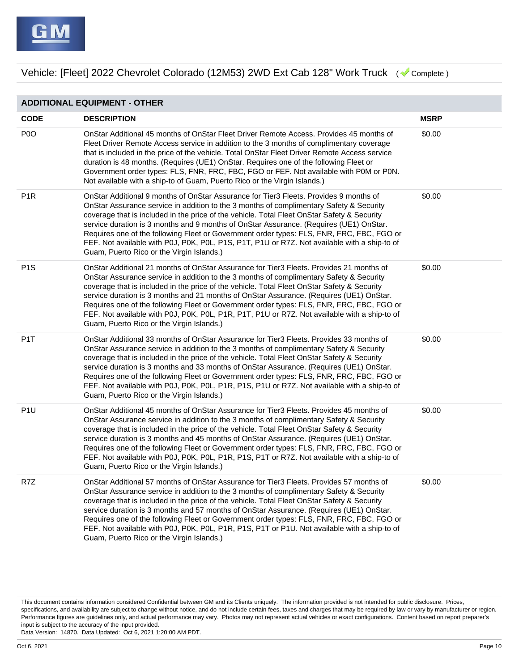**ADDITIONAL EQUIPMENT - OTHER CODE DESCRIPTION MSRP** P0O OnStar Additional 45 months of OnStar Fleet Driver Remote Access. Provides 45 months of Fleet Driver Remote Access service in addition to the 3 months of complimentary coverage that is included in the price of the vehicle. Total OnStar Fleet Driver Remote Access service duration is 48 months. (Requires (UE1) OnStar. Requires one of the following Fleet or Government order types: FLS, FNR, FRC, FBC, FGO or FEF. Not available with P0M or P0N. Not available with a ship-to of Guam, Puerto Rico or the Virgin Islands.) \$0.00 P1R OnStar Additional 9 months of OnStar Assurance for Tier3 Fleets. Provides 9 months of OnStar Assurance service in addition to the 3 months of complimentary Safety & Security coverage that is included in the price of the vehicle. Total Fleet OnStar Safety & Security service duration is 3 months and 9 months of OnStar Assurance. (Requires (UE1) OnStar. Requires one of the following Fleet or Government order types: FLS, FNR, FRC, FBC, FGO or FEF. Not available with P0J, P0K, P0L, P1S, P1T, P1U or R7Z. Not available with a ship-to of Guam, Puerto Rico or the Virgin Islands.) \$0.00 P1S OnStar Additional 21 months of OnStar Assurance for Tier3 Fleets. Provides 21 months of OnStar Assurance service in addition to the 3 months of complimentary Safety & Security coverage that is included in the price of the vehicle. Total Fleet OnStar Safety & Security service duration is 3 months and 21 months of OnStar Assurance. (Requires (UE1) OnStar. Requires one of the following Fleet or Government order types: FLS, FNR, FRC, FBC, FGO or FEF. Not available with P0J, P0K, P0L, P1R, P1T, P1U or R7Z. Not available with a ship-to of Guam, Puerto Rico or the Virgin Islands.) \$0.00 P1T OnStar Additional 33 months of OnStar Assurance for Tier3 Fleets. Provides 33 months of OnStar Assurance service in addition to the 3 months of complimentary Safety & Security coverage that is included in the price of the vehicle. Total Fleet OnStar Safety & Security service duration is 3 months and 33 months of OnStar Assurance. (Requires (UE1) OnStar. Requires one of the following Fleet or Government order types: FLS, FNR, FRC, FBC, FGO or FEF. Not available with P0J, P0K, P0L, P1R, P1S, P1U or R7Z. Not available with a ship-to of Guam, Puerto Rico or the Virgin Islands.) \$0.00 P1U OnStar Additional 45 months of OnStar Assurance for Tier3 Fleets. Provides 45 months of OnStar Assurance service in addition to the 3 months of complimentary Safety & Security coverage that is included in the price of the vehicle. Total Fleet OnStar Safety & Security service duration is 3 months and 45 months of OnStar Assurance. (Requires (UE1) OnStar. Requires one of the following Fleet or Government order types: FLS, FNR, FRC, FBC, FGO or FEF. Not available with P0J, P0K, P0L, P1R, P1S, P1T or R7Z. Not available with a ship-to of Guam, Puerto Rico or the Virgin Islands.) \$0.00 R7Z OnStar Additional 57 months of OnStar Assurance for Tier3 Fleets. Provides 57 months of OnStar Assurance service in addition to the 3 months of complimentary Safety & Security coverage that is included in the price of the vehicle. Total Fleet OnStar Safety & Security service duration is 3 months and 57 months of OnStar Assurance. (Requires (UE1) OnStar. Requires one of the following Fleet or Government order types: FLS, FNR, FRC, FBC, FGO or FEF. Not available with P0J, P0K, P0L, P1R, P1S, P1T or P1U. Not available with a ship-to of Guam, Puerto Rico or the Virgin Islands.) \$0.00

This document contains information considered Confidential between GM and its Clients uniquely. The information provided is not intended for public disclosure. Prices, specifications, and availability are subject to change without notice, and do not include certain fees, taxes and charges that may be required by law or vary by manufacturer or region. Performance figures are guidelines only, and actual performance may vary. Photos may not represent actual vehicles or exact configurations. Content based on report preparer's input is subject to the accuracy of the input provided.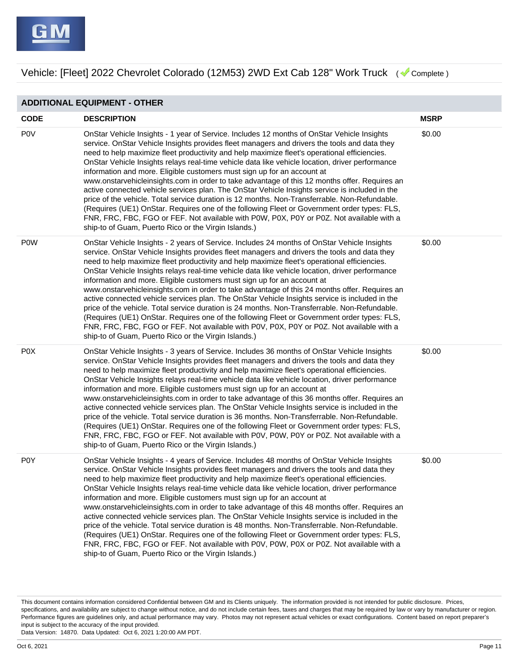| <b>ADDITIONAL EQUIPMENT - OTHER</b> |                                                                                                                                                                                                                                                                                                                                                                                                                                                                                                                                                                                                                                                                                                                                                                                                                                                                                                                                                                                                                                  |             |  |
|-------------------------------------|----------------------------------------------------------------------------------------------------------------------------------------------------------------------------------------------------------------------------------------------------------------------------------------------------------------------------------------------------------------------------------------------------------------------------------------------------------------------------------------------------------------------------------------------------------------------------------------------------------------------------------------------------------------------------------------------------------------------------------------------------------------------------------------------------------------------------------------------------------------------------------------------------------------------------------------------------------------------------------------------------------------------------------|-------------|--|
| <b>CODE</b>                         | <b>DESCRIPTION</b>                                                                                                                                                                                                                                                                                                                                                                                                                                                                                                                                                                                                                                                                                                                                                                                                                                                                                                                                                                                                               | <b>MSRP</b> |  |
| <b>POV</b>                          | OnStar Vehicle Insights - 1 year of Service. Includes 12 months of OnStar Vehicle Insights<br>service. OnStar Vehicle Insights provides fleet managers and drivers the tools and data they<br>need to help maximize fleet productivity and help maximize fleet's operational efficiencies.<br>OnStar Vehicle Insights relays real-time vehicle data like vehicle location, driver performance<br>information and more. Eligible customers must sign up for an account at<br>www.onstarvehicleinsights.com in order to take advantage of this 12 months offer. Requires an<br>active connected vehicle services plan. The OnStar Vehicle Insights service is included in the<br>price of the vehicle. Total service duration is 12 months. Non-Transferrable. Non-Refundable.<br>(Requires (UE1) OnStar. Requires one of the following Fleet or Government order types: FLS,<br>FNR, FRC, FBC, FGO or FEF. Not available with P0W, P0X, P0Y or P0Z. Not available with a<br>ship-to of Guam, Puerto Rico or the Virgin Islands.)  | \$0.00      |  |
| <b>POW</b>                          | OnStar Vehicle Insights - 2 years of Service. Includes 24 months of OnStar Vehicle Insights<br>service. OnStar Vehicle Insights provides fleet managers and drivers the tools and data they<br>need to help maximize fleet productivity and help maximize fleet's operational efficiencies.<br>OnStar Vehicle Insights relays real-time vehicle data like vehicle location, driver performance<br>information and more. Eligible customers must sign up for an account at<br>www.onstarvehicleinsights.com in order to take advantage of this 24 months offer. Requires an<br>active connected vehicle services plan. The OnStar Vehicle Insights service is included in the<br>price of the vehicle. Total service duration is 24 months. Non-Transferrable. Non-Refundable.<br>(Requires (UE1) OnStar. Requires one of the following Fleet or Government order types: FLS,<br>FNR, FRC, FBC, FGO or FEF. Not available with P0V, P0X, P0Y or P0Z. Not available with a<br>ship-to of Guam, Puerto Rico or the Virgin Islands.) | \$0.00      |  |
| P <sub>0</sub> X                    | OnStar Vehicle Insights - 3 years of Service. Includes 36 months of OnStar Vehicle Insights<br>service. OnStar Vehicle Insights provides fleet managers and drivers the tools and data they<br>need to help maximize fleet productivity and help maximize fleet's operational efficiencies.<br>OnStar Vehicle Insights relays real-time vehicle data like vehicle location, driver performance<br>information and more. Eligible customers must sign up for an account at<br>www.onstarvehicleinsights.com in order to take advantage of this 36 months offer. Requires an<br>active connected vehicle services plan. The OnStar Vehicle Insights service is included in the<br>price of the vehicle. Total service duration is 36 months. Non-Transferrable. Non-Refundable.<br>(Requires (UE1) OnStar. Requires one of the following Fleet or Government order types: FLS,<br>FNR, FRC, FBC, FGO or FEF. Not available with P0V, P0W, P0Y or P0Z. Not available with a<br>ship-to of Guam, Puerto Rico or the Virgin Islands.) | \$0.00      |  |
| P <sub>0</sub> Y                    | OnStar Vehicle Insights - 4 years of Service. Includes 48 months of OnStar Vehicle Insights<br>service. OnStar Vehicle Insights provides fleet managers and drivers the tools and data they<br>need to help maximize fleet productivity and help maximize fleet's operational efficiencies.<br>OnStar Vehicle Insights relays real-time vehicle data like vehicle location, driver performance<br>information and more. Eligible customers must sign up for an account at<br>www.onstarvehicleinsights.com in order to take advantage of this 48 months offer. Requires an<br>active connected vehicle services plan. The OnStar Vehicle Insights service is included in the<br>price of the vehicle. Total service duration is 48 months. Non-Transferrable. Non-Refundable.<br>(Requires (UE1) OnStar. Requires one of the following Fleet or Government order types: FLS,<br>FNR, FRC, FBC, FGO or FEF. Not available with P0V, P0W, P0X or P0Z. Not available with a<br>ship-to of Guam, Puerto Rico or the Virgin Islands.) | \$0.00      |  |

This document contains information considered Confidential between GM and its Clients uniquely. The information provided is not intended for public disclosure. Prices, specifications, and availability are subject to change without notice, and do not include certain fees, taxes and charges that may be required by law or vary by manufacturer or region. Performance figures are guidelines only, and actual performance may vary. Photos may not represent actual vehicles or exact configurations. Content based on report preparer's input is subject to the accuracy of the input provided.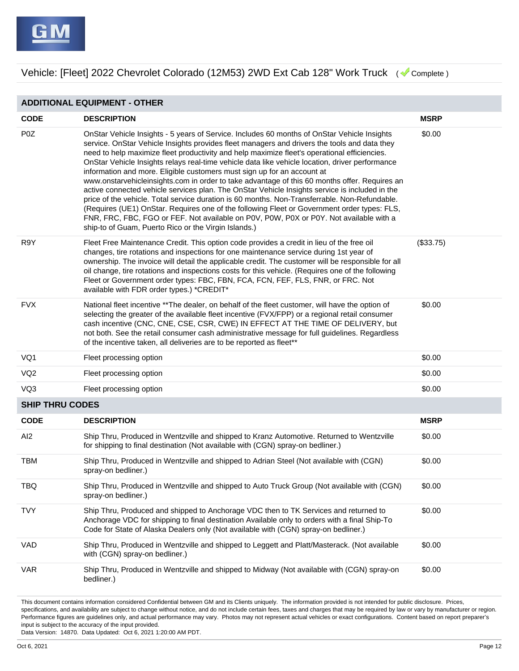**ADDITIONAL EQUIPMENT - OTHER**

| <b>CODE</b>            | <b>DESCRIPTION</b>                                                                                                                                                                                                                                                                                                                                                                                                                                                                                                                                                                                                                                                                                                                                                                                                                                                                                                                                                                                                             | <b>MSRP</b> |
|------------------------|--------------------------------------------------------------------------------------------------------------------------------------------------------------------------------------------------------------------------------------------------------------------------------------------------------------------------------------------------------------------------------------------------------------------------------------------------------------------------------------------------------------------------------------------------------------------------------------------------------------------------------------------------------------------------------------------------------------------------------------------------------------------------------------------------------------------------------------------------------------------------------------------------------------------------------------------------------------------------------------------------------------------------------|-------------|
| P <sub>0</sub> Z       | OnStar Vehicle Insights - 5 years of Service. Includes 60 months of OnStar Vehicle Insights<br>service. OnStar Vehicle Insights provides fleet managers and drivers the tools and data they<br>need to help maximize fleet productivity and help maximize fleet's operational efficiencies.<br>OnStar Vehicle Insights relays real-time vehicle data like vehicle location, driver performance<br>information and more. Eligible customers must sign up for an account at<br>www.onstarvehicleinsights.com in order to take advantage of this 60 months offer. Requires an<br>active connected vehicle services plan. The OnStar Vehicle Insights service is included in the<br>price of the vehicle. Total service duration is 60 months. Non-Transferrable. Non-Refundable.<br>(Requires (UE1) OnStar. Requires one of the following Fleet or Government order types: FLS,<br>FNR, FRC, FBC, FGO or FEF. Not available on P0V, P0W, P0X or P0Y. Not available with a<br>ship-to of Guam, Puerto Rico or the Virgin Islands.) | \$0.00      |
| R9Y                    | Fleet Free Maintenance Credit. This option code provides a credit in lieu of the free oil<br>changes, tire rotations and inspections for one maintenance service during 1st year of<br>ownership. The invoice will detail the applicable credit. The customer will be responsible for all<br>oil change, tire rotations and inspections costs for this vehicle. (Requires one of the following<br>Fleet or Government order types: FBC, FBN, FCA, FCN, FEF, FLS, FNR, or FRC. Not<br>available with FDR order types.) *CREDIT*                                                                                                                                                                                                                                                                                                                                                                                                                                                                                                 | (\$33.75)   |
| <b>FVX</b>             | National fleet incentive **The dealer, on behalf of the fleet customer, will have the option of<br>selecting the greater of the available fleet incentive (FVX/FPP) or a regional retail consumer<br>cash incentive (CNC, CNE, CSE, CSR, CWE) IN EFFECT AT THE TIME OF DELIVERY, but<br>not both. See the retail consumer cash administrative message for full guidelines. Regardless<br>of the incentive taken, all deliveries are to be reported as fleet**                                                                                                                                                                                                                                                                                                                                                                                                                                                                                                                                                                  | \$0.00      |
| VQ1                    | Fleet processing option                                                                                                                                                                                                                                                                                                                                                                                                                                                                                                                                                                                                                                                                                                                                                                                                                                                                                                                                                                                                        | \$0.00      |
| VQ <sub>2</sub>        | Fleet processing option                                                                                                                                                                                                                                                                                                                                                                                                                                                                                                                                                                                                                                                                                                                                                                                                                                                                                                                                                                                                        | \$0.00      |
| VQ3                    | Fleet processing option                                                                                                                                                                                                                                                                                                                                                                                                                                                                                                                                                                                                                                                                                                                                                                                                                                                                                                                                                                                                        | \$0.00      |
| <b>SHIP THRU CODES</b> |                                                                                                                                                                                                                                                                                                                                                                                                                                                                                                                                                                                                                                                                                                                                                                                                                                                                                                                                                                                                                                |             |
| <b>CODE</b>            | <b>DESCRIPTION</b>                                                                                                                                                                                                                                                                                                                                                                                                                                                                                                                                                                                                                                                                                                                                                                                                                                                                                                                                                                                                             | <b>MSRP</b> |
| AI <sub>2</sub>        | Ship Thru, Produced in Wentzville and shipped to Kranz Automotive. Returned to Wentzville<br>for shipping to final destination (Not available with (CGN) spray-on bedliner.)                                                                                                                                                                                                                                                                                                                                                                                                                                                                                                                                                                                                                                                                                                                                                                                                                                                   | \$0.00      |
| <b>TBM</b>             | Ship Thru, Produced in Wentzville and shipped to Adrian Steel (Not available with (CGN)<br>spray-on bedliner.)                                                                                                                                                                                                                                                                                                                                                                                                                                                                                                                                                                                                                                                                                                                                                                                                                                                                                                                 | \$0.00      |
| <b>TBQ</b>             | Ship Thru, Produced in Wentzville and shipped to Auto Truck Group (Not available with (CGN)<br>spray-on bedliner.)                                                                                                                                                                                                                                                                                                                                                                                                                                                                                                                                                                                                                                                                                                                                                                                                                                                                                                             | \$0.00      |
| <b>TVY</b>             | Ship Thru, Produced and shipped to Anchorage VDC then to TK Services and returned to<br>Anchorage VDC for shipping to final destination Available only to orders with a final Ship-To<br>Code for State of Alaska Dealers only (Not available with (CGN) spray-on bedliner.)                                                                                                                                                                                                                                                                                                                                                                                                                                                                                                                                                                                                                                                                                                                                                   | \$0.00      |
| VAD                    | Ship Thru, Produced in Wentzville and shipped to Leggett and Platt/Masterack. (Not available<br>with (CGN) spray-on bedliner.)                                                                                                                                                                                                                                                                                                                                                                                                                                                                                                                                                                                                                                                                                                                                                                                                                                                                                                 | \$0.00      |
| VAR                    | Ship Thru, Produced in Wentzville and shipped to Midway (Not available with (CGN) spray-on<br>bedliner.)                                                                                                                                                                                                                                                                                                                                                                                                                                                                                                                                                                                                                                                                                                                                                                                                                                                                                                                       | \$0.00      |

This document contains information considered Confidential between GM and its Clients uniquely. The information provided is not intended for public disclosure. Prices, specifications, and availability are subject to change without notice, and do not include certain fees, taxes and charges that may be required by law or vary by manufacturer or region. Performance figures are guidelines only, and actual performance may vary. Photos may not represent actual vehicles or exact configurations. Content based on report preparer's input is subject to the accuracy of the input provided.